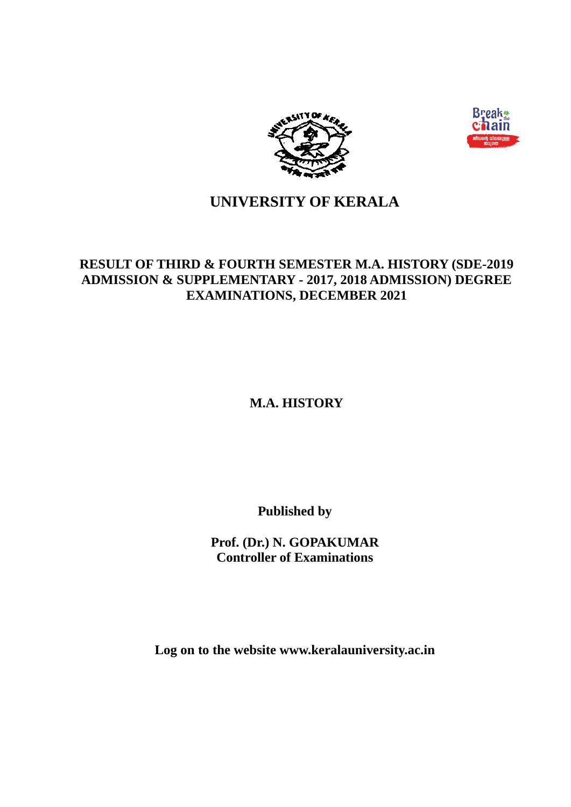



# **UNIVERSITY OF KERALA**

# **RESULT OF THIRD & FOURTH SEMESTER M.A. HISTORY (SDE-2019 ADMISSION & SUPPLEMENTARY - 2017, 2018 ADMISSION) DEGREE EXAMINATIONS, DECEMBER 2021**

**M.A. HISTORY**

**Published by** 

**Prof. (Dr.) N. GOPAKUMAR Controller of Examinations** 

**Log on to the website www.keralauniversity.ac.in**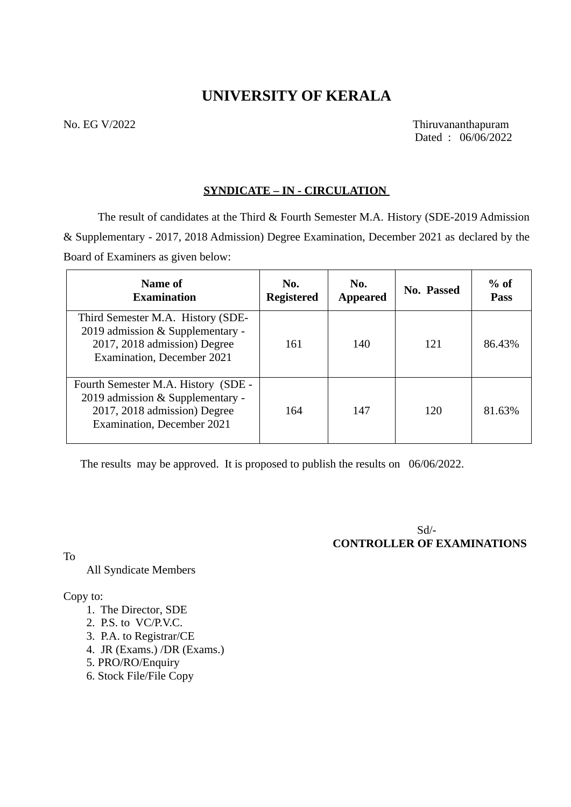# **UNIVERSITY OF KERALA**

No. EG V/2022 Thiruvananthapuram Dated : 06/06/2022

### **SYNDICATE – IN - CIRCULATION**

The result of candidates at the Third & Fourth Semester M.A. History (SDE-2019 Admission & Supplementary - 2017, 2018 Admission) Degree Examination, December 2021 as declared by the Board of Examiners as given below:

| Name of<br><b>Examination</b>                                                                                                         | No.<br><b>Registered</b> | No.<br><b>Appeared</b> | No. Passed | $%$ of<br><b>Pass</b> |
|---------------------------------------------------------------------------------------------------------------------------------------|--------------------------|------------------------|------------|-----------------------|
| Third Semester M.A. History (SDE-<br>2019 admission & Supplementary -<br>2017, 2018 admission) Degree<br>Examination, December 2021   | 161                      | 140                    | 121        | 86.43%                |
| Fourth Semester M.A. History (SDE -<br>2019 admission & Supplementary -<br>2017, 2018 admission) Degree<br>Examination, December 2021 | 164                      | 147                    | 120        | 81.63%                |

The results may be approved. It is proposed to publish the results on 06/06/2022.

 Sd/- **CONTROLLER OF EXAMINATIONS** 

To

All Syndicate Members

### Copy to:

- 1. The Director, SDE
- 2. P.S. to VC/P.V.C.
- 3. P.A. to Registrar/CE
- 4. JR (Exams.) /DR (Exams.)
- 5. PRO/RO/Enquiry
- 6. Stock File/File Copy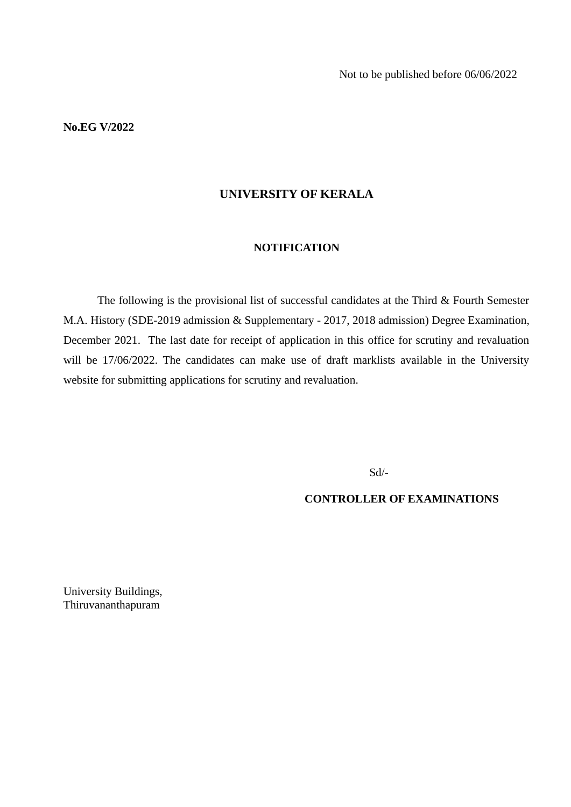**No.EG V/2022**

### **UNIVERSITY OF KERALA**

### **NOTIFICATION**

The following is the provisional list of successful candidates at the Third & Fourth Semester M.A. History (SDE-2019 admission & Supplementary - 2017, 2018 admission) Degree Examination, December 2021. The last date for receipt of application in this office for scrutiny and revaluation will be 17/06/2022. The candidates can make use of draft marklists available in the University website for submitting applications for scrutiny and revaluation.

Sd/-

**CONTROLLER OF EXAMINATIONS**

University Buildings, Thiruvananthapuram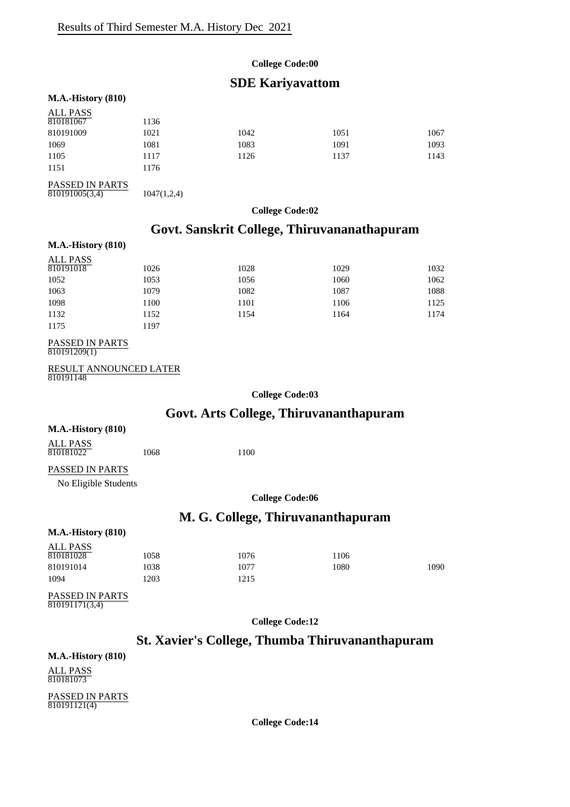### **College Code:00**

### **SDE Kariyavattom**

#### **M.A.-History (810)**

| ALL PASS        |             |      |      |      |
|-----------------|-------------|------|------|------|
| 810181067       | 1136        |      |      |      |
| 810191009       | 1021        | 1042 | 1051 | 1067 |
| 1069            | 1081        | 1083 | 1091 | 1093 |
| 1105            | 1117        | 1126 | 1137 | 1143 |
| 1151            | 1176        |      |      |      |
| PASSED IN PARTS |             |      |      |      |
| 810191005(3,4)  | 1047(1,2,4) |      |      |      |

### **College Code:02**

# **Govt. Sanskrit College, Thiruvananathapuram**

#### **M.A.-History (810)**

| <b>ALL PASS</b> |      |      |      |      |
|-----------------|------|------|------|------|
| 810191018       | 1026 | 1028 | 1029 | 1032 |
| 1052            | 1053 | 1056 | 1060 | 1062 |
| 1063            | 1079 | 1082 | 1087 | 1088 |
| 1098            | 1100 | 1101 | 1106 | 1125 |
| 1132            | 1152 | 1154 | 1164 | 1174 |
| 1175            | 1197 |      |      |      |

### PASSED IN PARTS

810191209(1)

```
RESULT ANNOUNCED LATER
\frac{1256611}{810191148}
```
**College Code:03**

### **Govt. Arts College, Thiruvananthapuram**

#### **M.A.-History (810)**

ALL PASS 810181022 1068 1100

#### PASSED IN PARTS

No Eligible Students

**College Code:06**

### **M. G. College, Thiruvananthapuram**

#### **M.A.-History (810)**

| ALL PASS  |      |      |      |      |
|-----------|------|------|------|------|
| 810181028 | 1058 | 1076 | 1106 |      |
| 810191014 | 1038 | 1077 | 1080 | 1090 |
| 1094      | 1203 | 1215 |      |      |
|           |      |      |      |      |

#### PASSED IN PARTS  $810191171(3,4)$

**College Code:12**

### **St. Xavier's College, Thumba Thiruvananthapuram**

### **M.A.-History (810)**

ALL PASS 810181073

PASSED IN PARTS 810191121(4)

**College Code:14**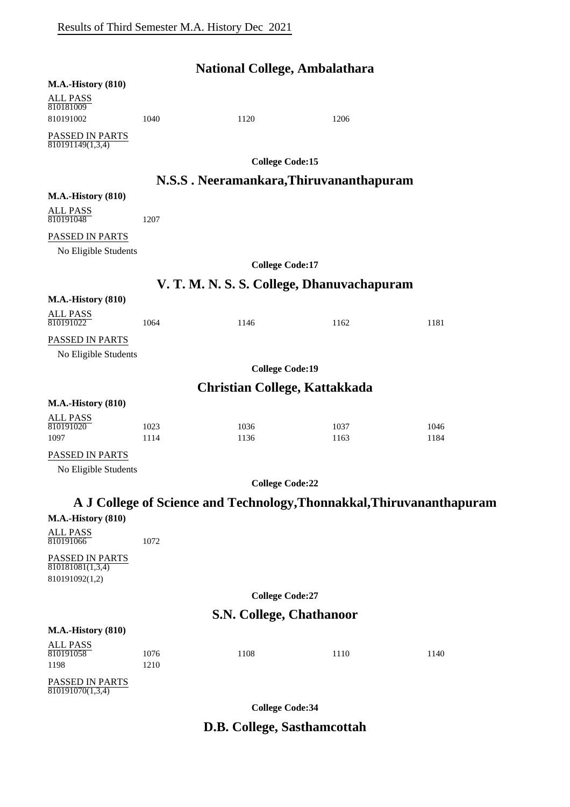|                                                                    |              | <b>National College, Ambalathara</b> |                                            |                                                                       |
|--------------------------------------------------------------------|--------------|--------------------------------------|--------------------------------------------|-----------------------------------------------------------------------|
| <b>M.A.-History (810)</b>                                          |              |                                      |                                            |                                                                       |
| ALL PASS<br>810181009                                              |              |                                      |                                            |                                                                       |
| 810191002                                                          | 1040         | 1120                                 | 1206                                       |                                                                       |
| PASSED IN PARTS<br>$\overline{810191149(1,3,4)}$                   |              |                                      |                                            |                                                                       |
|                                                                    |              | <b>College Code:15</b>               |                                            |                                                                       |
|                                                                    |              |                                      | N.S.S. Neeramankara, Thiruvananthapuram    |                                                                       |
| <b>M.A.-History (810)</b>                                          |              |                                      |                                            |                                                                       |
| <b>ALL PASS</b><br>810191048                                       | 1207         |                                      |                                            |                                                                       |
| PASSED IN PARTS                                                    |              |                                      |                                            |                                                                       |
| No Eligible Students                                               |              |                                      |                                            |                                                                       |
|                                                                    |              | <b>College Code:17</b>               |                                            |                                                                       |
|                                                                    |              |                                      | V. T. M. N. S. S. College, Dhanuvachapuram |                                                                       |
| <b>M.A.-History (810)</b>                                          |              |                                      |                                            |                                                                       |
| ALL PASS<br>810191022                                              | 1064         | 1146                                 | 1162                                       | 1181                                                                  |
| PASSED IN PARTS                                                    |              |                                      |                                            |                                                                       |
| No Eligible Students                                               |              |                                      |                                            |                                                                       |
|                                                                    |              | <b>College Code:19</b>               |                                            |                                                                       |
|                                                                    |              | <b>Christian College, Kattakkada</b> |                                            |                                                                       |
| <b>M.A.-History (810)</b>                                          |              |                                      |                                            |                                                                       |
| <b>ALL PASS</b><br>810191020                                       | 1023         | 1036                                 | 1037                                       | 1046                                                                  |
| 1097                                                               | 1114         | 1136                                 | 1163                                       | 1184                                                                  |
| PASSED IN PARTS<br>No Eligible Students                            |              |                                      |                                            |                                                                       |
|                                                                    |              | <b>College Code:22</b>               |                                            |                                                                       |
|                                                                    |              |                                      |                                            | A J College of Science and Technology, Thonnakkal, Thiruvananthapuram |
| <b>M.A.-History (810)</b>                                          |              |                                      |                                            |                                                                       |
| ALL PASS<br>810191066                                              | 1072         |                                      |                                            |                                                                       |
| PASSED IN PARTS<br>$\overline{810181081(1,3,4)}$<br>810191092(1,2) |              |                                      |                                            |                                                                       |
|                                                                    |              | <b>College Code:27</b>               |                                            |                                                                       |
|                                                                    |              | <b>S.N. College, Chathanoor</b>      |                                            |                                                                       |
| <b>M.A.-History (810)</b>                                          |              |                                      |                                            |                                                                       |
| <b>ALL PASS</b>                                                    |              |                                      |                                            |                                                                       |
| 810191058<br>1198                                                  | 1076<br>1210 | 1108                                 | 1110                                       | 1140                                                                  |
| PASSED IN PARTS<br>$\overline{810191070(1,3,4)}$                   |              |                                      |                                            |                                                                       |
|                                                                    |              | <b>College Code:34</b>               |                                            |                                                                       |

# **D.B. College, Sasthamcottah**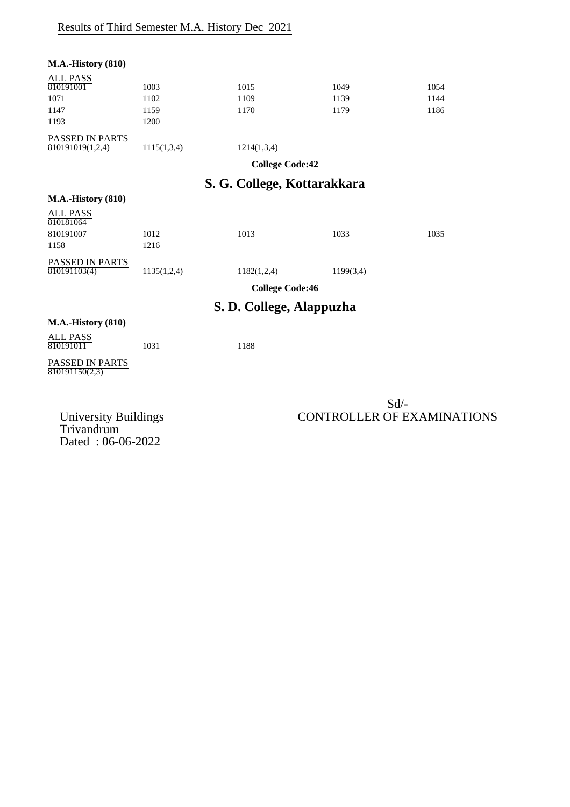| <b>M.A.-History (810)</b>         |             |                          |           |      |
|-----------------------------------|-------------|--------------------------|-----------|------|
| <b>ALL PASS</b>                   |             |                          |           |      |
| 810191001                         | 1003        | 1015                     | 1049      | 1054 |
| 1071                              | 1102        | 1109                     | 1139      | 1144 |
| 1147                              | 1159        | 1170                     | 1179      | 1186 |
| 1193                              | 1200        |                          |           |      |
| PASSED IN PARTS                   |             |                          |           |      |
| 810191019(1,2,4)                  | 1115(1,3,4) | 1214(1,3,4)              |           |      |
|                                   |             | <b>College Code:42</b>   |           |      |
| S. G. College, Kottarakkara       |             |                          |           |      |
| <b>M.A.-History (810)</b>         |             |                          |           |      |
| <b>ALL PASS</b><br>810181064      |             |                          |           |      |
| 810191007                         | 1012        | 1013                     | 1033      | 1035 |
| 1158                              | 1216        |                          |           |      |
| PASSED IN PARTS                   |             |                          |           |      |
| 810191103(4)                      | 1135(1,2,4) | 1182(1,2,4)              | 1199(3,4) |      |
|                                   |             | <b>College Code:46</b>   |           |      |
|                                   |             | S. D. College, Alappuzha |           |      |
| <b>M.A.-History (810)</b>         |             |                          |           |      |
| <b>ALL PASS</b><br>810191011      | 1031        | 1188                     |           |      |
| PASSED IN PARTS<br>810191150(2,3) |             |                          |           |      |
|                                   |             |                          |           |      |
|                                   |             |                          |           | Sd/2 |

Trivandrum Dated : 06-06-2022

### Sd/- University Buildings CONTROLLER OF EXAMINATIONS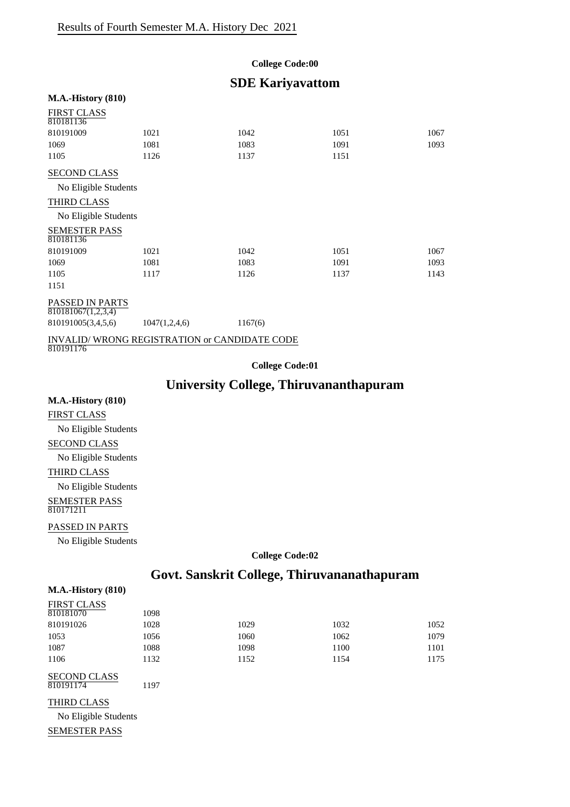#### **College Code:00**

### **SDE Kariyavattom**

#### **M.A.-History (810)**

| <b>FIRST CLASS</b><br>810181136                           |               |         |      |      |
|-----------------------------------------------------------|---------------|---------|------|------|
| 810191009                                                 | 1021          | 1042    | 1051 | 1067 |
| 1069                                                      | 1081          | 1083    | 1091 | 1093 |
| 1105                                                      | 1126          | 1137    | 1151 |      |
| <b>SECOND CLASS</b>                                       |               |         |      |      |
| No Eligible Students                                      |               |         |      |      |
| THIRD CLASS                                               |               |         |      |      |
| No Eligible Students                                      |               |         |      |      |
| <b>SEMESTER PASS</b><br>810181136                         |               |         |      |      |
| 810191009                                                 | 1021          | 1042    | 1051 | 1067 |
| 1069                                                      | 1081          | 1083    | 1091 | 1093 |
| 1105                                                      | 1117          | 1126    | 1137 | 1143 |
| 1151                                                      |               |         |      |      |
| <b>PASSED IN PARTS</b><br>810181067(1,2,3,4)              |               |         |      |      |
| 810191005(3,4,5,6)                                        | 1047(1,2,4,6) | 1167(6) |      |      |
| INVALID/WRONG REGISTRATION or CANDIDATE CODE<br>810191176 |               |         |      |      |

**College Code:01**

### **University College, Thiruvananthapuram**

#### **M.A.-History (810)**

FIRST CLASS No Eligible Students SECOND CLASS No Eligible Students THIRD CLASS No Eligible Students SEMESTER PASS 810171211

#### PASSED IN PARTS

No Eligible Students

#### **College Code:02**

### **Govt. Sanskrit College, Thiruvananathapuram**

#### **M.A.-History (810)**

| <b>FIRST CLASS</b> |      |      |      |      |
|--------------------|------|------|------|------|
| 810181070          | 1098 |      |      |      |
| 810191026          | 1028 | 1029 | 1032 | 1052 |
| 1053               | 1056 | 1060 | 1062 | 1079 |
| 1087               | 1088 | 1098 | 1100 | 1101 |
| 1106               | 1132 | 1152 | 1154 | 1175 |
|                    |      |      |      |      |

SECOND CLASS 810191174 1197

#### THIRD CLASS

No Eligible Students SEMESTER PASS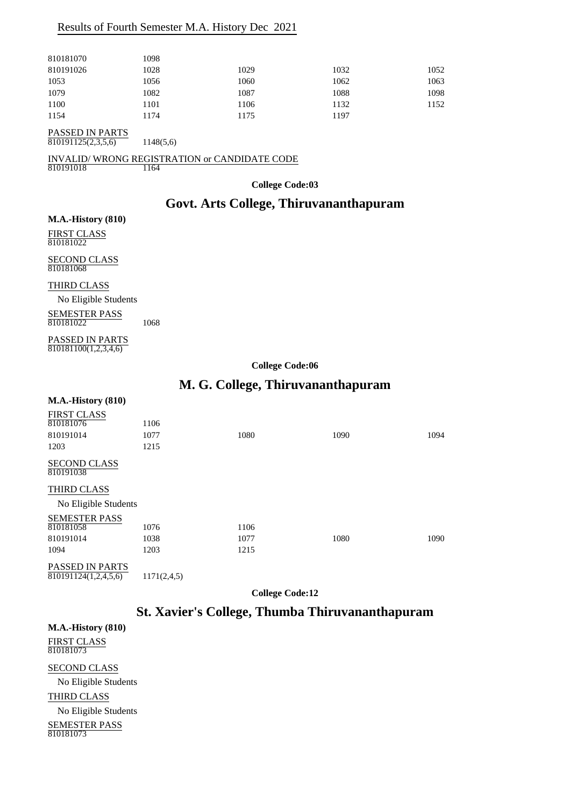### Results of Fourth Semester M.A. History Dec 2021

| 810181070 | 1098 |      |      |      |
|-----------|------|------|------|------|
| 810191026 | 1028 | 1029 | 1032 | 1052 |
| 1053      | 1056 | 1060 | 1062 | 1063 |
| 1079      | 1082 | 1087 | 1088 | 1098 |
| 1100      | 1101 | 1106 | 1132 | 1152 |
| 1154      | 1174 | 1175 | 1197 |      |
|           |      |      |      |      |

PASSED IN PARTS  $\overline{810191125(2,3,5,6)}$  1148(5,6)

INVALID/WRONG REGISTRATION or CANDIDATE CODE  $\frac{11}{810191018}$ 

**College Code:03**

### **Govt. Arts College, Thiruvananthapuram**

#### **M.A.-History (810)**

FIRST CLASS 810181022

SECOND CLASS 810181068

THIRD CLASS

No Eligible Students

SEMESTER PASS 810181022 1068

PASSED IN PARTS 810181100(1,2,3,4,6)

**College Code:06**

### **M. G. College, Thiruvananthapuram**

#### **M.A.-History (810)**

| <b>FIRST CLASS</b>               |      |      |      |      |
|----------------------------------|------|------|------|------|
| 810181076                        | 1106 |      |      |      |
| 810191014                        | 1077 | 1080 | 1090 | 1094 |
| 1203                             | 1215 |      |      |      |
| <b>SECOND CLASS</b><br>810191038 |      |      |      |      |
| THIRD CLASS                      |      |      |      |      |
| No Eligible Students             |      |      |      |      |
| <b>SEMESTER PASS</b>             |      |      |      |      |
| 810181058                        | 1076 | 1106 |      |      |
| 810191014                        | 1038 | 1077 | 1080 | 1090 |
| 1094                             | 1203 | 1215 |      |      |
| <b>DICODD BIDIDEO</b>            |      |      |      |      |

PASSED IN PARTS  $\overline{810191124(1,2,4,5,6)}$  1171(2,4,5)

**College Code:12**

### **St. Xavier's College, Thumba Thiruvananthapuram**

**M.A.-History (810)**

FIRST CLASS 810181073

SECOND CLASS

No Eligible Students

THIRD CLASS

No Eligible Students

SEMESTER PASS 810181073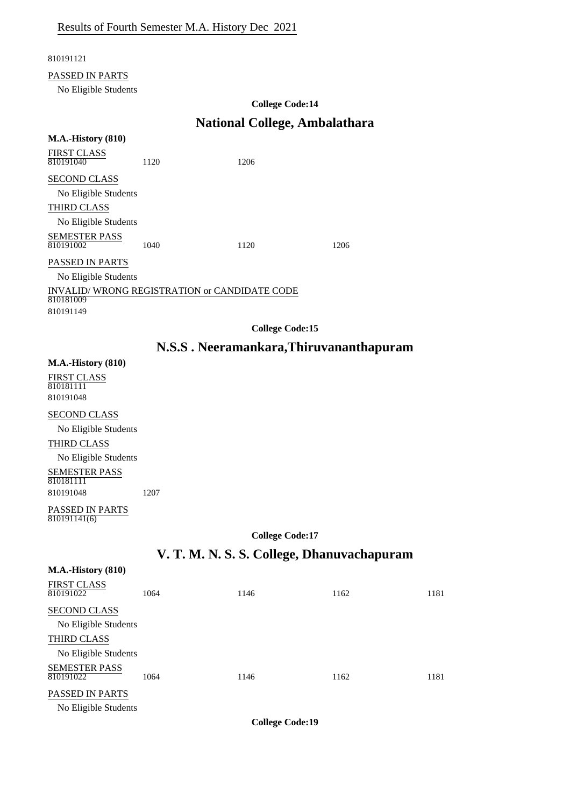### 810191121

### PASSED IN PARTS

No Eligible Students

### **College Code:14**

# **National College, Ambalathara**

| <b>M.A.-History (810)</b>                                              |      |                                            |      |      |
|------------------------------------------------------------------------|------|--------------------------------------------|------|------|
| FIRST CLASS<br>810191040                                               | 1120 | 1206                                       |      |      |
| <b>SECOND CLASS</b>                                                    |      |                                            |      |      |
| No Eligible Students                                                   |      |                                            |      |      |
| THIRD CLASS                                                            |      |                                            |      |      |
| No Eligible Students                                                   |      |                                            |      |      |
| SEMESTER PASS<br>810191002                                             | 1040 | 1120                                       | 1206 |      |
| PASSED IN PARTS                                                        |      |                                            |      |      |
| No Eligible Students                                                   |      |                                            |      |      |
| INVALID/WRONG REGISTRATION or CANDIDATE CODE<br>810181009<br>810191149 |      |                                            |      |      |
|                                                                        |      | <b>College Code:15</b>                     |      |      |
|                                                                        |      | N.S.S. Neeramankara, Thiruvananthapuram    |      |      |
| <b>M.A.-History (810)</b>                                              |      |                                            |      |      |
| FIRST CLASS<br>810181111                                               |      |                                            |      |      |
| 810191048                                                              |      |                                            |      |      |
| <b>SECOND CLASS</b>                                                    |      |                                            |      |      |
| No Eligible Students                                                   |      |                                            |      |      |
| THIRD CLASS                                                            |      |                                            |      |      |
| No Eligible Students                                                   |      |                                            |      |      |
| <b>SEMESTER PASS</b><br>810181111                                      |      |                                            |      |      |
| 810191048                                                              | 1207 |                                            |      |      |
| PASSED IN PARTS<br>810191141(6)                                        |      |                                            |      |      |
|                                                                        |      | <b>College Code:17</b>                     |      |      |
|                                                                        |      | V. T. M. N. S. S. College, Dhanuvachapuram |      |      |
| <b>M.A.-History (810)</b>                                              |      |                                            |      |      |
| <b>FIRST CLASS</b><br>810191022                                        | 1064 | 1146                                       | 1162 | 1181 |
| SECOND CLASS                                                           |      |                                            |      |      |
| No Eligible Students                                                   |      |                                            |      |      |

THIRD CLASS No Eligible Students

SEMESTER PASS 810191022 1064 1146 1162 1162 1181

PASSED IN PARTS

No Eligible Students

**College Code:19**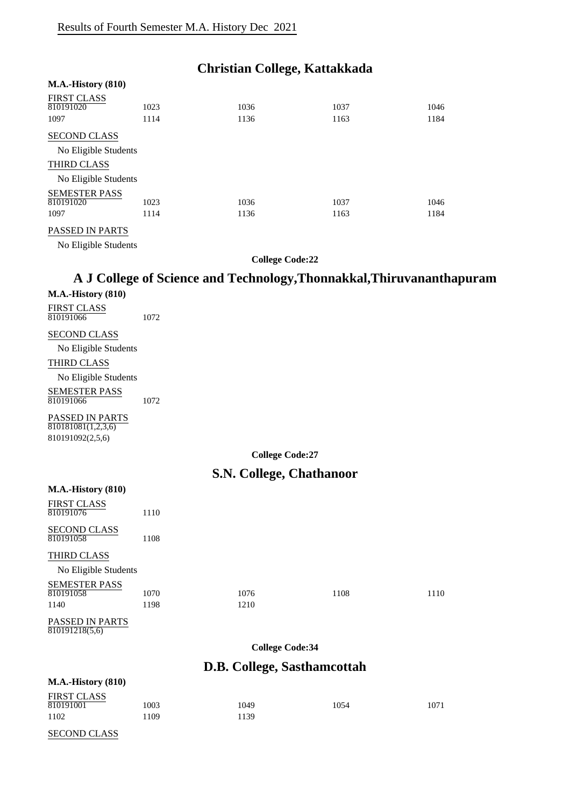# **Christian College, Kattakkada**

| <b>M.A.-History (810)</b>               |              |              |              |              |
|-----------------------------------------|--------------|--------------|--------------|--------------|
| <b>FIRST CLASS</b><br>810191020<br>1097 | 1023<br>1114 | 1036<br>1136 | 1037<br>1163 | 1046<br>1184 |
| <b>SECOND CLASS</b>                     |              |              |              |              |
| No Eligible Students                    |              |              |              |              |
| <b>THIRD CLASS</b>                      |              |              |              |              |
| No Eligible Students                    |              |              |              |              |
| <b>SEMESTER PASS</b><br>810191020       | 1023         | 1036         | 1037         | 1046         |
| 1097                                    | 1114         | 1136         | 1163         | 1184         |
| $\cdots$                                |              |              |              |              |

#### PASSED IN PARTS

No Eligible Students

**College Code:22**

# **A J College of Science and Technology,Thonnakkal,Thiruvananthapuram**

| <b>M.A.-History (810)</b>                          |                        |                                 |      |      |  |
|----------------------------------------------------|------------------------|---------------------------------|------|------|--|
| <b>FIRST CLASS</b><br>810191066                    | 1072                   |                                 |      |      |  |
| <b>SECOND CLASS</b>                                |                        |                                 |      |      |  |
| No Eligible Students                               |                        |                                 |      |      |  |
| THIRD CLASS                                        |                        |                                 |      |      |  |
| No Eligible Students                               |                        |                                 |      |      |  |
| <b>SEMESTER PASS</b><br>810191066                  | 1072                   |                                 |      |      |  |
| PASSED IN PARTS<br>$\overline{810181081(1,2,3,6)}$ |                        |                                 |      |      |  |
| 810191092(2,5,6)                                   |                        |                                 |      |      |  |
|                                                    |                        | <b>College Code:27</b>          |      |      |  |
|                                                    |                        | <b>S.N. College, Chathanoor</b> |      |      |  |
| $M.A.-History (810)$                               |                        |                                 |      |      |  |
| <b>FIRST CLASS</b><br>810191076                    | 1110                   |                                 |      |      |  |
| <b>SECOND CLASS</b><br>810191058                   | 1108                   |                                 |      |      |  |
| THIRD CLASS                                        |                        |                                 |      |      |  |
| No Eligible Students                               |                        |                                 |      |      |  |
| <b>SEMESTER PASS</b>                               |                        |                                 |      |      |  |
| 810191058                                          | 1070                   | 1076                            | 1108 | 1110 |  |
| 1140                                               | 1198                   | 1210                            |      |      |  |
| PASSED IN PARTS<br>810191218(5,6)                  |                        |                                 |      |      |  |
|                                                    | <b>College Code:34</b> |                                 |      |      |  |
|                                                    |                        | D.B. College, Sasthamcottah     |      |      |  |
| <b>M.A.-History (810)</b>                          |                        |                                 |      |      |  |
| <b>FIRST CLASS</b>                                 |                        |                                 |      |      |  |
| 810191001<br>1102                                  | 1003<br>1109           | 1049<br>1139                    | 1054 | 1071 |  |
|                                                    |                        |                                 |      |      |  |
| <b>SECOND CLASS</b>                                |                        |                                 |      |      |  |